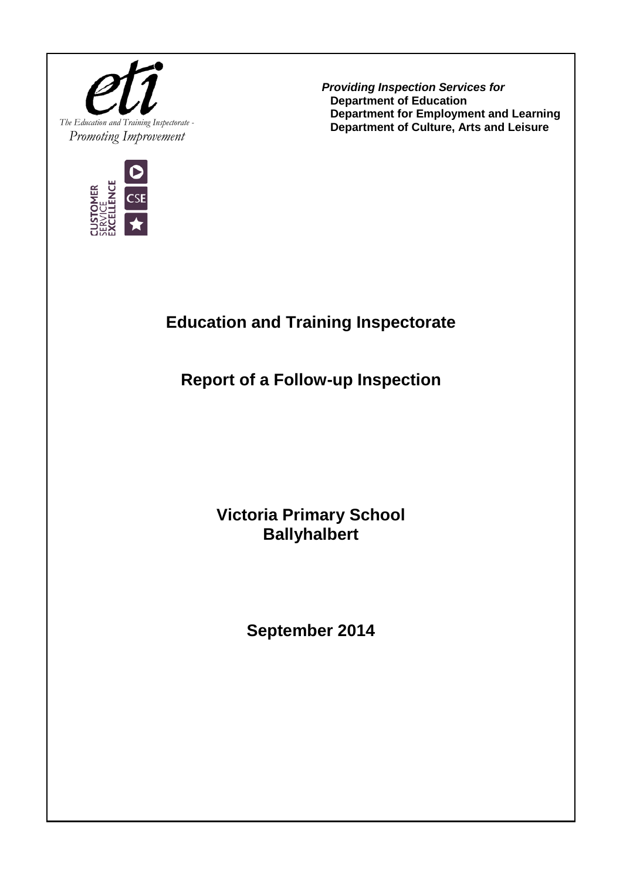



*Providing Inspection Services for* **Department of Education Department for Employment and Learning Department of Culture, Arts and Leisure**

## **Education and Training Inspectorate**

**Report of a Follow-up Inspection**

**Victoria Primary School Ballyhalbert**

**September 2014**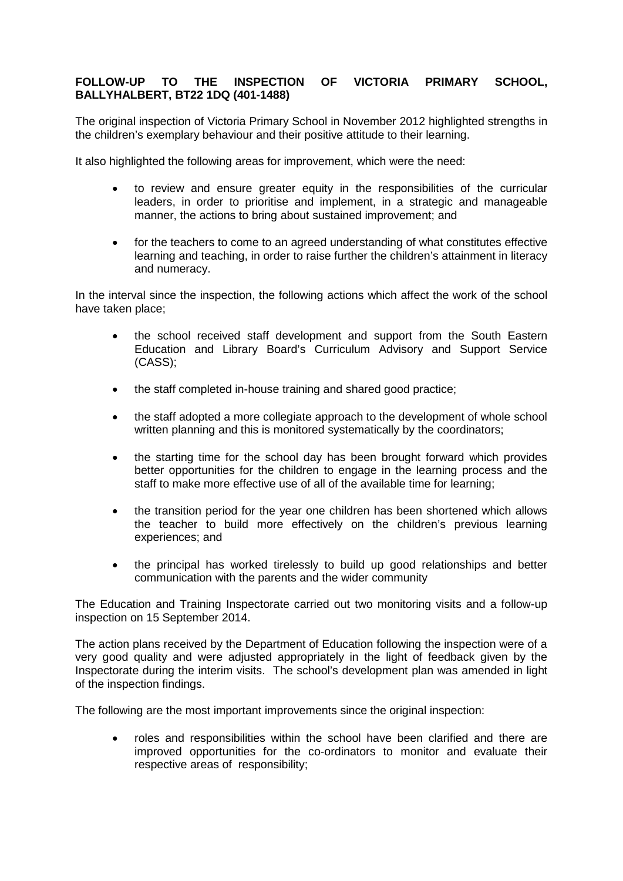## **FOLLOW-UP TO THE INSPECTION OF VICTORIA PRIMARY SCHOOL, BALLYHALBERT, BT22 1DQ (401-1488)**

The original inspection of Victoria Primary School in November 2012 highlighted strengths in the children's exemplary behaviour and their positive attitude to their learning.

It also highlighted the following areas for improvement, which were the need:

- to review and ensure greater equity in the responsibilities of the curricular leaders, in order to prioritise and implement, in a strategic and manageable manner, the actions to bring about sustained improvement; and
- for the teachers to come to an agreed understanding of what constitutes effective learning and teaching, in order to raise further the children's attainment in literacy and numeracy.

In the interval since the inspection, the following actions which affect the work of the school have taken place;

- the school received staff development and support from the South Eastern Education and Library Board's Curriculum Advisory and Support Service (CASS);
- the staff completed in-house training and shared good practice;
- the staff adopted a more collegiate approach to the development of whole school written planning and this is monitored systematically by the coordinators;
- the starting time for the school day has been brought forward which provides better opportunities for the children to engage in the learning process and the staff to make more effective use of all of the available time for learning;
- the transition period for the year one children has been shortened which allows the teacher to build more effectively on the children's previous learning experiences; and
- the principal has worked tirelessly to build up good relationships and better communication with the parents and the wider community

The Education and Training Inspectorate carried out two monitoring visits and a follow-up inspection on 15 September 2014.

The action plans received by the Department of Education following the inspection were of a very good quality and were adjusted appropriately in the light of feedback given by the Inspectorate during the interim visits. The school's development plan was amended in light of the inspection findings.

The following are the most important improvements since the original inspection:

• roles and responsibilities within the school have been clarified and there are improved opportunities for the co-ordinators to monitor and evaluate their respective areas of responsibility;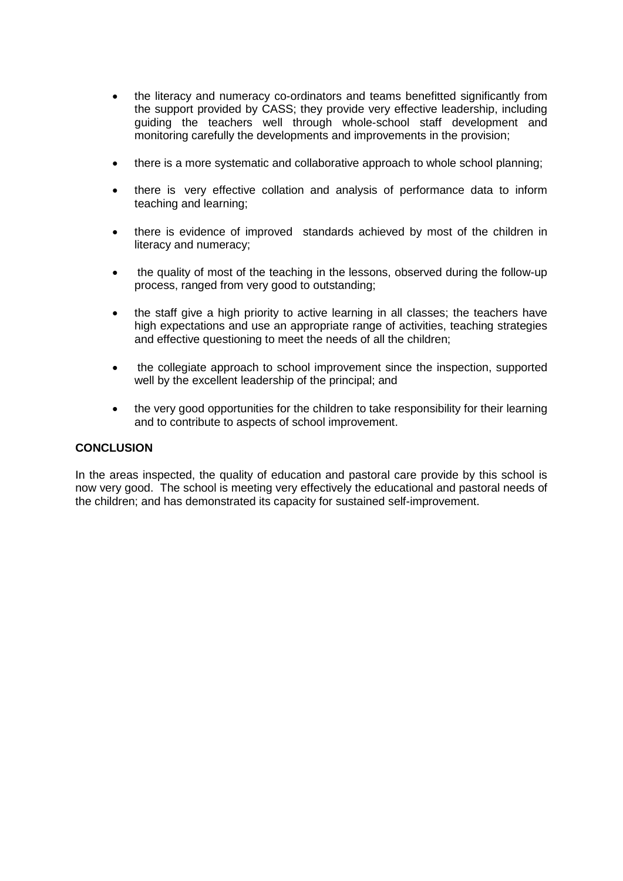- the literacy and numeracy co-ordinators and teams benefitted significantly from the support provided by CASS; they provide very effective leadership, including guiding the teachers well through whole-school staff development and monitoring carefully the developments and improvements in the provision;
- there is a more systematic and collaborative approach to whole school planning;
- there is very effective collation and analysis of performance data to inform teaching and learning;
- there is evidence of improved standards achieved by most of the children in literacy and numeracy;
- the quality of most of the teaching in the lessons, observed during the follow-up process, ranged from very good to outstanding;
- the staff give a high priority to active learning in all classes; the teachers have high expectations and use an appropriate range of activities, teaching strategies and effective questioning to meet the needs of all the children;
- the collegiate approach to school improvement since the inspection, supported well by the excellent leadership of the principal; and
- the very good opportunities for the children to take responsibility for their learning and to contribute to aspects of school improvement.

## **CONCLUSION**

In the areas inspected, the quality of education and pastoral care provide by this school is now very good. The school is meeting very effectively the educational and pastoral needs of the children; and has demonstrated its capacity for sustained self-improvement.